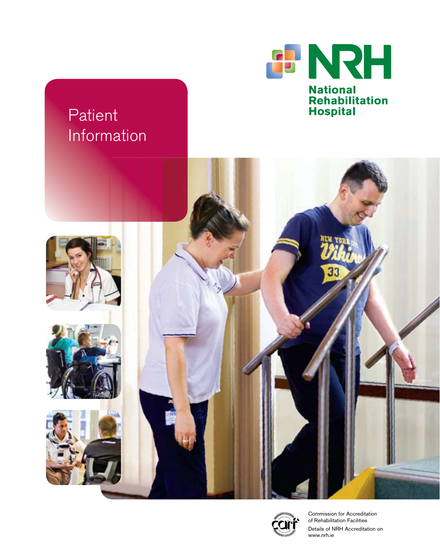



Commission for Accreditation of Rehabilitation Facilities Details of NRH Accreditation on www.nrh.ie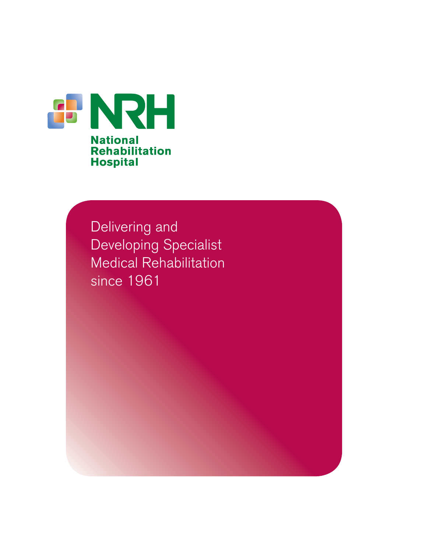

Delivering and Developing Specialist Medical Rehabilitation since 1961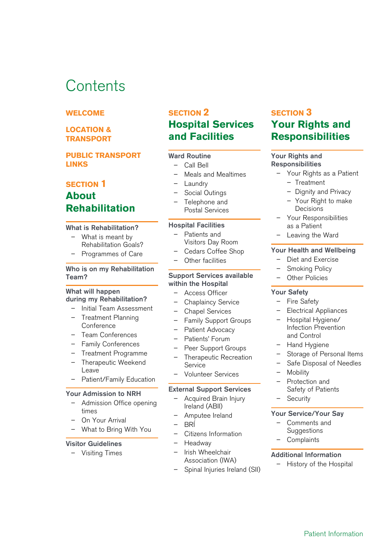## **Contents**

#### **Welcome**

**Location & Transport**

**Public Transport Links**

## **SECTION 1 About Rehabilitation**

## What is Rehabilitation?

- What is meant by
- Rehabilitation Goals?
- Programmes of Care

#### Who is on my Rehabilitation Team?

#### What will happen during my Rehabilitation?

- Initial Team Assessment
- Treatment Planning Conference
- Team Conferences
- Family Conferences
- Treatment Programme
- Therapeutic Weekend Leave
- Patient/Family Education

#### Your Admission to NRH

- Admission Office opening times
- On Your Arrival
- What to Bring With You

#### Visitor Guidelines

– Visiting Times

## **SECTION 2 Hospital Services and Facilities**

#### Ward Routine

- Call Bell
- Meals and Mealtimes
- Laundry
- Social Outings
- Telephone and Postal Services

#### Hospital Facilities

- Patients and
- Visitors Day Room
- Cedars Coffee Shop
- Other facilities

#### Support Services available within the Hospital

- Access Officer
- Chaplaincy Service
- Chapel Services
- Family Support Groups
- Patient Advocacy
- Patients' Forum
- Peer Support Groups
- Therapeutic Recreation Service
- Volunteer Services

#### External Support Services

- Acquired Brain Injury Ireland (ABII)
- Amputee Ireland
- BRÍ
- Citizens Information
- **Headway**
- Irish Wheelchair Association (IWA)
- Spinal Injuries Ireland (SII)

## **SECTION 3 Your Rights and Responsibilities**

#### Your Rights and Responsibilities

- Your Rights as a Patient – Treatment
	- Dignity and Privacy
	- Your Right to make Decisions
- Your Responsibilities as a Patient
- Leaving the Ward

#### Your Health and Wellbeing

- Diet and Exercise
- Smoking Policy
- **Other Policies**

#### Your Safety

- Fire Safety
- Electrical Appliances
- Hospital Hygiene/ Infection Prevention and Control
- Hand Hygiene
- Storage of Personal Items
- Safe Disposal of Needles
- **Mobility**
- Protection and Safety of Patients
- Security

#### Your Service/Your Say

- Comments and
- Suggestions **Complaints**
- 

### Additional Information

– History of the Hospital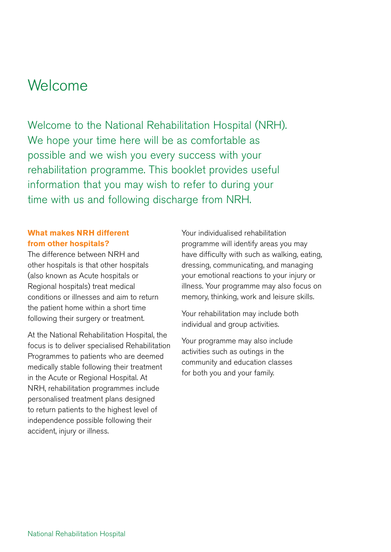## Welcome

Welcome to the National Rehabilitation Hospital (NRH). We hope your time here will be as comfortable as possible and we wish you every success with your rehabilitation programme. This booklet provides useful information that you may wish to refer to during your time with us and following discharge from NRH.

#### **What makes NRH different from other hospitals?**

The difference between NRH and other hospitals is that other hospitals (also known as Acute hospitals or Regional hospitals) treat medical conditions or illnesses and aim to return the patient home within a short time following their surgery or treatment.

At the National Rehabilitation Hospital, the focus is to deliver specialised Rehabilitation Programmes to patients who are deemed medically stable following their treatment in the Acute or Regional Hospital. At NRH, rehabilitation programmes include personalised treatment plans designed to return patients to the highest level of independence possible following their accident, injury or illness.

Your individualised rehabilitation programme will identify areas you may have difficulty with such as walking, eating, dressing, communicating, and managing your emotional reactions to your injury or illness. Your programme may also focus on memory, thinking, work and leisure skills.

Your rehabilitation may include both individual and group activities.

Your programme may also include activities such as outings in the community and education classes for both you and your family.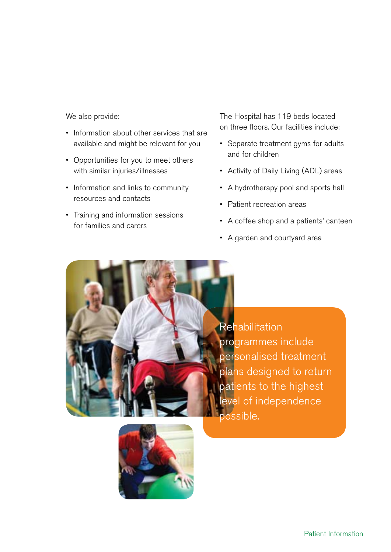We also provide:

- Information about other services that are available and might be relevant for you
- Opportunities for you to meet others with similar injuries/illnesses
- Information and links to community resources and contacts
- Training and information sessions for families and carers

The Hospital has 119 beds located on three floors. Our facilities include:

- Separate treatment gyms for adults and for children
- Activity of Daily Living (ADL) areas
- A hydrotherapy pool and sports hall
- Patient recreation areas
- A coffee shop and a patients' canteen
- A garden and courtyard area



Rehabilitation programmes include personalised treatment plans designed to return patients to the highest level of independence possible.

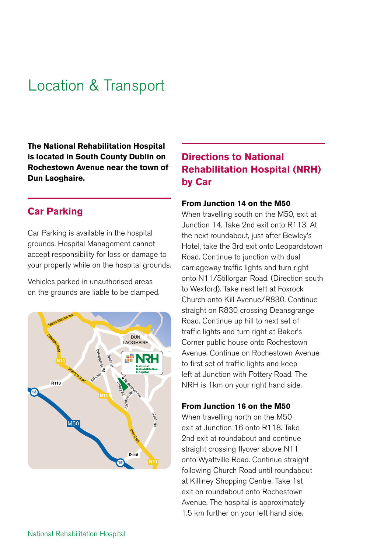## Location & Transport

**The National Rehabilitation Hospital is located in South County Dublin on Rochestown Avenue near the town of Dun Laoghaire.** 

## **Car Parking**

Car Parking is available in the hospital grounds. Hospital Management cannot accept responsibility for loss or damage to your property while on the hospital grounds.

Vehicles parked in unauthorised areas on the grounds are liable to be clamped.



## **Directions to National Rehabilitation Hospital (NRH) by Car**

#### **From Junction 14 on the M50**

When travelling south on the M50, exit at Junction 14. Take 2nd exit onto R113. At the next roundabout, just after Bewley's Hotel, take the 3rd exit onto Leopardstown Road. Continue to junction with dual carriageway traffic lights and turn right onto N11/Stillorgan Road. (Direction south to Wexford). Take next left at Foxrock Church onto Kill Avenue/R830. Continue straight on R830 crossing Deansgrange Road. Continue up hill to next set of traffic lights and turn right at Baker's Corner public house onto Rochestown Avenue. Continue on Rochestown Avenue to first set of traffic lights and keep left at Junction with Pottery Road. The NRH is 1km on your right hand side.

#### **From Junction 16 on the M50**

When travelling north on the M50 exit at Junction 16 onto R118. Take 2nd exit at roundabout and continue straight crossing flyover above N11 onto Wyattville Road. Continue straight following Church Road until roundabout at Killiney Shopping Centre. Take 1st exit on roundabout onto Rochestown Avenue. The hospital is approximately 1.5 km further on your left hand side.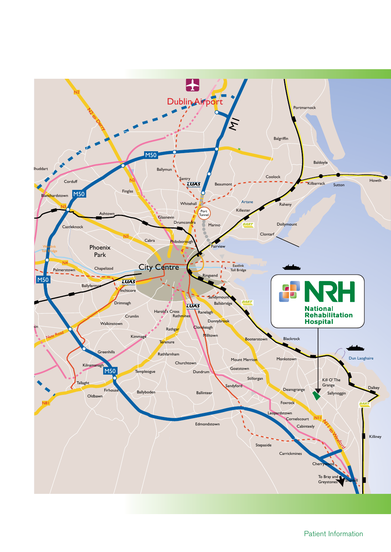

Patient Information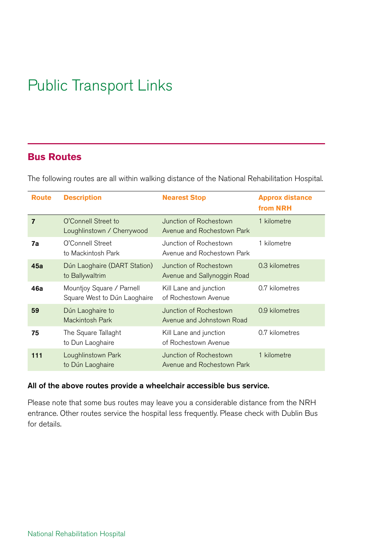## Public Transport Links

## **Bus Routes**

The following routes are all within walking distance of the National Rehabilitation Hospital.

| <b>Route</b>   | <b>Description</b>                                        | <b>Nearest Stop</b>                                   | <b>Approx distance</b><br>from NRH |
|----------------|-----------------------------------------------------------|-------------------------------------------------------|------------------------------------|
| $\overline{7}$ | O'Connell Street to<br>Loughlinstown / Cherrywood         | Junction of Rochestown<br>Avenue and Rochestown Park  | 1 kilometre                        |
| 7a             | O'Connell Street<br>to Mackintosh Park                    | Junction of Rochestown<br>Avenue and Rochestown Park  | 1 kilometre                        |
| 45a            | Dún Laoghaire (DART Station)<br>to Ballywaltrim           | Junction of Rochestown<br>Avenue and Sallynoggin Road | 0.3 kilometres                     |
| 46a            | Mountjoy Square / Parnell<br>Square West to Dún Laoghaire | Kill Lane and junction<br>of Rochestown Avenue        | 0.7 kilometres                     |
| 59             | Dún Laoghaire to<br>Mackintosh Park                       | Junction of Rochestown<br>Avenue and Johnstown Road   | 0.9 kilometres                     |
| 75             | The Square Tallaght<br>to Dun Laoghaire                   | Kill Lane and junction<br>of Rochestown Avenue        | 0.7 kilometres                     |
| 111            | Loughlinstown Park<br>to Dún Laoghaire                    | Junction of Rochestown<br>Avenue and Rochestown Park  | 1 kilometre                        |

#### All of the above routes provide a wheelchair accessible bus service.

Please note that some bus routes may leave you a considerable distance from the NRH entrance. Other routes service the hospital less frequently. Please check with Dublin Bus for details.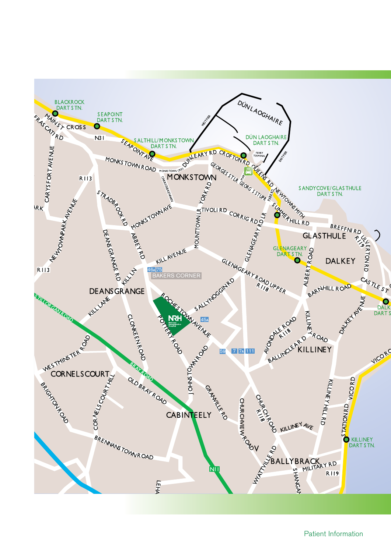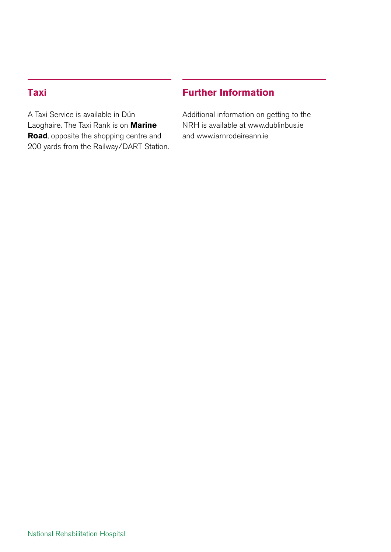## **Taxi**

A Taxi Service is available in Dún Laoghaire. The Taxi Rank is on **Marine Road**, opposite the shopping centre and 200 yards from the Railway/DART Station.

## **Further Information**

Additional information on getting to the NRH is available at www.dublinbus.ie and www.iarnrodeireann.ie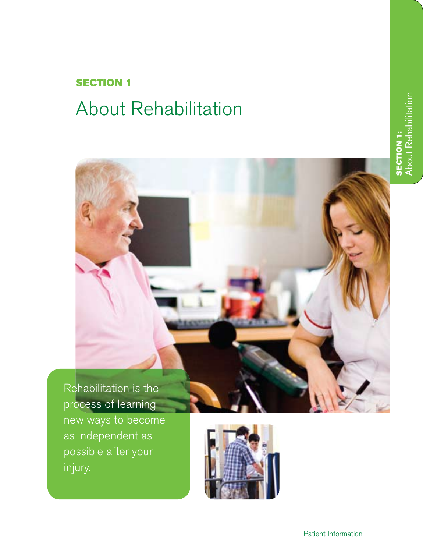# SECTION 1 About Rehabilitation

Rehabilitation is the process of learning new ways to become as independent as possible after your injury.



Patient Information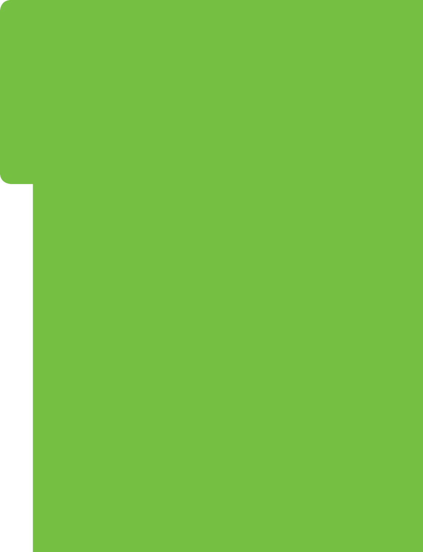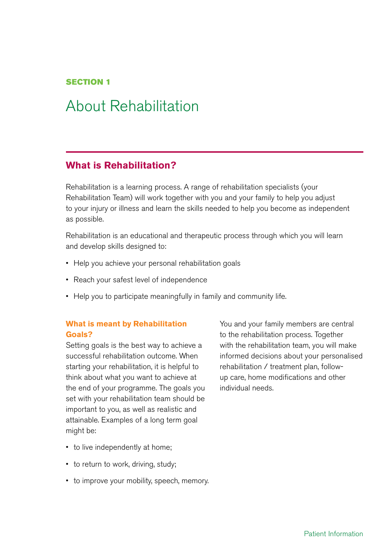### SECTION 1

## About Rehabilitation

## **What is Rehabilitation?**

Rehabilitation is a learning process. A range of rehabilitation specialists (your Rehabilitation Team) will work together with you and your family to help you adjust to your injury or illness and learn the skills needed to help you become as independent as possible.

Rehabilitation is an educational and therapeutic process through which you will learn and develop skills designed to:

- Help you achieve your personal rehabilitation goals
- Reach your safest level of independence
- Help you to participate meaningfully in family and community life.

#### **What is meant by Rehabilitation Goals?**

Setting goals is the best way to achieve a successful rehabilitation outcome. When starting your rehabilitation, it is helpful to think about what you want to achieve at the end of your programme. The goals you set with your rehabilitation team should be important to you, as well as realistic and attainable. Examples of a long term goal might be:

You and your family members are central to the rehabilitation process. Together with the rehabilitation team, you will make informed decisions about your personalised rehabilitation / treatment plan, followup care, home modifications and other individual needs.

- to live independently at home;
- to return to work, driving, study;
- to improve your mobility, speech, memory.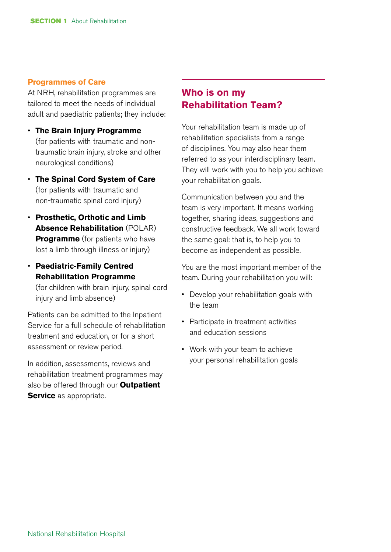#### **Programmes of Care**

At NRH, rehabilitation programmes are tailored to meet the needs of individual adult and paediatric patients; they include:

- • **The Brain Injury Programme** (for patients with traumatic and nontraumatic brain injury, stroke and other neurological conditions)
- • **The Spinal Cord System of Care** (for patients with traumatic and non-traumatic spinal cord injury)
- • **Prosthetic, Orthotic and Limb Absence Rehabilitation** (POLAR) **Programme** (for patients who have lost a limb through illness or injury)
- • **Paediatric-Family Centred Rehabilitation Programme** (for children with brain injury, spinal cord

injury and limb absence)

Patients can be admitted to the Inpatient Service for a full schedule of rehabilitation treatment and education, or for a short assessment or review period.

In addition, assessments, reviews and rehabilitation treatment programmes may also be offered through our **Outpatient Service** as appropriate.

## **Who is on my Rehabilitation Team?**

Your rehabilitation team is made up of rehabilitation specialists from a range of disciplines. You may also hear them referred to as your interdisciplinary team. They will work with you to help you achieve your rehabilitation goals.

Communication between you and the team is very important. It means working together, sharing ideas, suggestions and constructive feedback. We all work toward the same goal: that is, to help you to become as independent as possible.

You are the most important member of the team. During your rehabilitation you will:

- Develop your rehabilitation goals with the team
- Participate in treatment activities and education sessions
- Work with your team to achieve your personal rehabilitation goals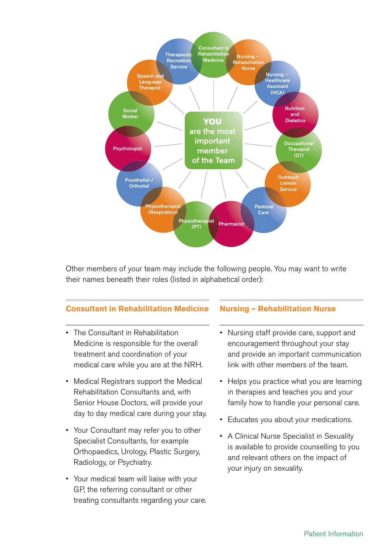

Other members of your team may include the following people. You may want to write their names beneath their roles (listed in alphabetical order):

#### **Consultant in Rehabilitation Medicine**

- The Consultant in Rehabilitation Medicine is responsible for the overall treatment and coordination of your medical care while you are at the NRH.
- Medical Registrars support the Medical Rehabilitation Consultants and, with Senior House Doctors, will provide your day to day medical care during your stay.
- Your Consultant may refer you to other Specialist Consultants, for example Orthopaedics, Urology, Plastic Surgery, Radiology, or Psychiatry.
- • Your medical team will liaise with your GP, the referring consultant or other treating consultants regarding your care.

#### **Nursing – Rehabilitation Nurse**

- • Nursing staff provide care, support and encouragement throughout your stay and provide an important communication link with other members of the team.
- Helps you practice what you are learning in therapies and teaches you and your family how to handle your personal care.
- • Educates you about your medications.
- A Clinical Nurse Specialist in Sexuality is available to provide counselling to you and relevant others on the impact of your injury on sexuality.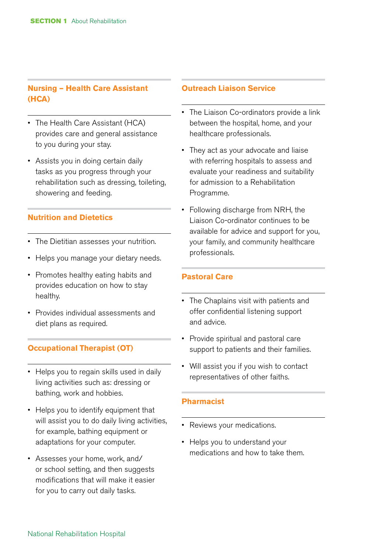#### **Nursing – Health Care Assistant (HCA)**

- The Health Care Assistant (HCA) provides care and general assistance to you during your stay.
- Assists you in doing certain daily tasks as you progress through your rehabilitation such as dressing, toileting, showering and feeding.

#### **Nutrition and Dietetics**

- The Dietitian assesses your nutrition.
- • Helps you manage your dietary needs.
- Promotes healthy eating habits and provides education on how to stay healthy.
- • Provides individual assessments and diet plans as required.

#### **Occupational Therapist (OT)**

- Helps you to regain skills used in daily living activities such as: dressing or bathing, work and hobbies.
- Helps you to identify equipment that will assist you to do daily living activities, for example, bathing equipment or adaptations for your computer.
- • Assesses your home, work, and/ or school setting, and then suggests modifications that will make it easier for you to carry out daily tasks.

#### **Outreach Liaison Service**

- The Liaison Co-ordinators provide a link between the hospital, home, and your healthcare professionals.
- They act as your advocate and liaise with referring hospitals to assess and evaluate your readiness and suitability for admission to a Rehabilitation Programme.
- Following discharge from NRH, the Liaison Co-ordinator continues to be available for advice and support for you, your family, and community healthcare professionals.

#### **Pastoral Care**

- The Chaplains visit with patients and offer confidential listening support and advice.
- Provide spiritual and pastoral care support to patients and their families.
- • Will assist you if you wish to contact representatives of other faiths.

#### **Pharmacist**

- Reviews your medications.
- Helps you to understand your medications and how to take them.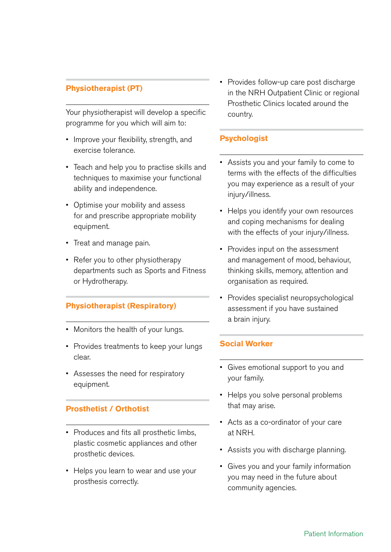#### **Physiotherapist (PT)**

Your physiotherapist will develop a specific programme for you which will aim to:

- Improve your flexibility, strength, and exercise tolerance.
- Teach and help you to practise skills and techniques to maximise your functional ability and independence.
- • Optimise your mobility and assess for and prescribe appropriate mobility equipment.
- Treat and manage pain.
- Refer you to other physiotherapy departments such as Sports and Fitness or Hydrotherapy.

#### **Physiotherapist (Respiratory)**

- Monitors the health of your lungs.
- Provides treatments to keep your lungs clear.
- • Assesses the need for respiratory equipment.

#### **Prosthetist / Orthotist**

- • Produces and fits all prosthetic limbs, plastic cosmetic appliances and other prosthetic devices.
- Helps you learn to wear and use your prosthesis correctly.

• Provides follow-up care post discharge in the NRH Outpatient Clinic or regional Prosthetic Clinics located around the country.

#### **Psychologist**

- Assists you and your family to come to terms with the effects of the difficulties you may experience as a result of your injury/illness.
- Helps you identify your own resources and coping mechanisms for dealing with the effects of your injury/illness.
- • Provides input on the assessment and management of mood, behaviour, thinking skills, memory, attention and organisation as required.
- Provides specialist neuropsychological assessment if you have sustained a brain injury.

#### **Social Worker**

- • Gives emotional support to you and your family.
- Helps you solve personal problems that may arise.
- • Acts as a co-ordinator of your care at NRH.
- • Assists you with discharge planning.
- • Gives you and your family information you may need in the future about community agencies.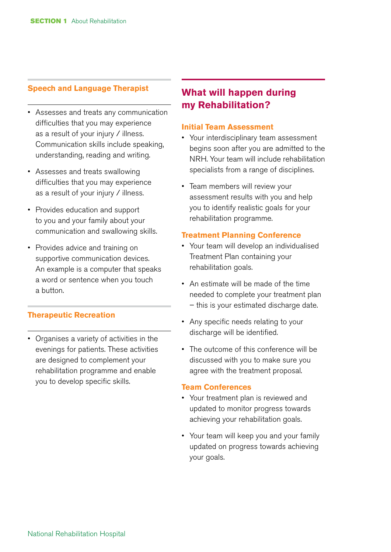#### **Speech and Language Therapist**

- • Assesses and treats any communication difficulties that you may experience as a result of your injury / illness. Communication skills include speaking, understanding, reading and writing.
- • Assesses and treats swallowing difficulties that you may experience as a result of your injury / illness.
- • Provides education and support to you and your family about your communication and swallowing skills.
- Provides advice and training on supportive communication devices. An example is a computer that speaks a word or sentence when you touch a button.

#### **Therapeutic Recreation**

• Organises a variety of activities in the evenings for patients. These activities are designed to complement your rehabilitation programme and enable you to develop specific skills.

## **What will happen during my Rehabilitation?**

#### **Initial Team Assessment**

- • Your interdisciplinary team assessment begins soon after you are admitted to the NRH. Your team will include rehabilitation specialists from a range of disciplines.
- Team members will review your assessment results with you and help you to identify realistic goals for your rehabilitation programme.

#### **Treatment Planning Conference**

- Your team will develop an individualised Treatment Plan containing your rehabilitation goals.
- • An estimate will be made of the time needed to complete your treatment plan – this is your estimated discharge date.
- Any specific needs relating to your discharge will be identified.
- The outcome of this conference will be discussed with you to make sure you agree with the treatment proposal.

#### **Team Conferences**

- • Your treatment plan is reviewed and updated to monitor progress towards achieving your rehabilitation goals.
- • Your team will keep you and your family updated on progress towards achieving your goals.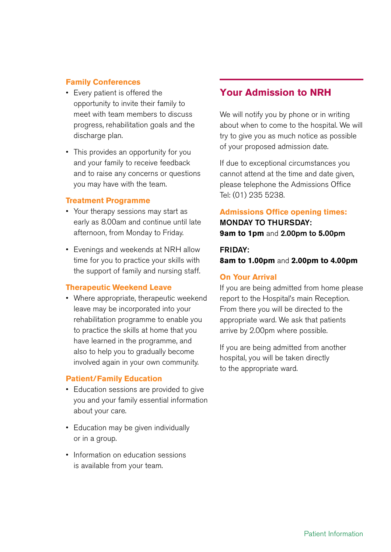#### **Family Conferences**

- Every patient is offered the opportunity to invite their family to meet with team members to discuss progress, rehabilitation goals and the discharge plan.
- This provides an opportunity for you and your family to receive feedback and to raise any concerns or questions you may have with the team.

#### **Treatment Programme**

- Your therapy sessions may start as early as 8.00am and continue until late afternoon, from Monday to Friday.
- Evenings and weekends at NRH allow time for you to practice your skills with the support of family and nursing staff.

#### **Therapeutic Weekend Leave**

• Where appropriate, therapeutic weekend leave may be incorporated into your rehabilitation programme to enable you to practice the skills at home that you have learned in the programme, and also to help you to gradually become involved again in your own community.

#### **Patient/Family Education**

- Education sessions are provided to give you and your family essential information about your care.
- Education may be given individually or in a group.
- Information on education sessions is available from your team.

## **Your Admission to NRH**

We will notify you by phone or in writing about when to come to the hospital. We will try to give you as much notice as possible of your proposed admission date.

If due to exceptional circumstances you cannot attend at the time and date given, please telephone the Admissions Office Tel: (01) 235 5238.

### **Admissions Office opening times:**  Monday to Thursday: **9am to 1pm** and 2.00pm to **5.**00pm

#### Friday:

**8am to 1.00pm** and **2.00pm to 4.00pm**

#### **On Your Arrival**

If you are being admitted from home please report to the Hospital's main Reception. From there you will be directed to the appropriate ward. We ask that patients arrive by 2.00pm where possible.

If you are being admitted from another hospital, you will be taken directly to the appropriate ward.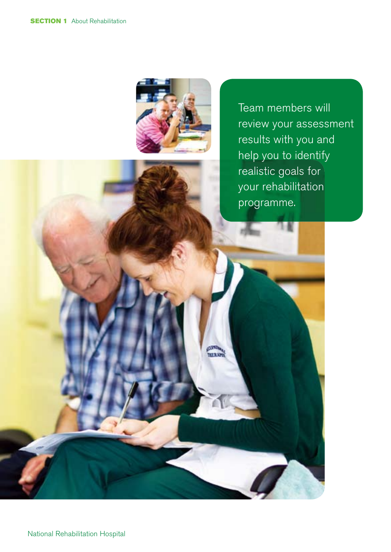

**CLERANT** 

Team members will review your assessment results with you and help you to identify realistic goals for your rehabilitation programme.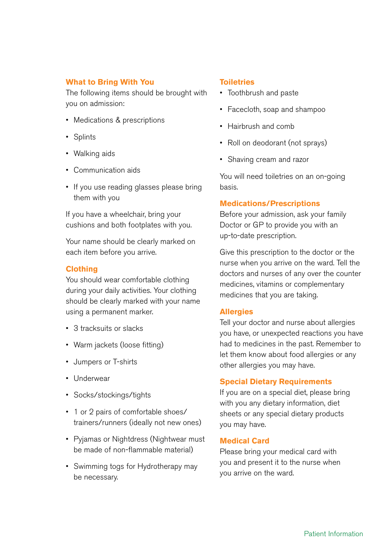#### **What to Bring With You**

The following items should be brought with you on admission:

- Medications & prescriptions
- • Splints
- Walking aids
- • Communication aids
- If you use reading glasses please bring them with you

If you have a wheelchair, bring your cushions and both footplates with you.

Your name should be clearly marked on each item before you arrive.

#### **Clothing**

You should wear comfortable clothing during your daily activities. Your clothing should be clearly marked with your name using a permanent marker.

- • 3 tracksuits or slacks
- Warm jackets (loose fitting)
- • Jumpers or T-shirts
- Underwear
- Socks/stockings/tights
- 1 or 2 pairs of comfortable shoes/ trainers/runners (ideally not new ones)
- • Pyjamas or Nightdress (Nightwear must be made of non-flammable material)
- Swimming togs for Hydrotherapy may be necessary.

#### **Toiletries**

- Toothbrush and paste
- Facecloth, soap and shampoo
- • Hairbrush and comb
- Roll on deodorant (not sprays)
- Shaving cream and razor

You will need toiletries on an on-going basis.

#### **Medications/Prescriptions**

Before your admission, ask your family Doctor or GP to provide you with an up-to-date prescription.

Give this prescription to the doctor or the nurse when you arrive on the ward. Tell the doctors and nurses of any over the counter medicines, vitamins or complementary medicines that you are taking.

#### **Allergies**

Tell your doctor and nurse about allergies you have, or unexpected reactions you have had to medicines in the past. Remember to let them know about food allergies or any other allergies you may have.

#### **Special Dietary Requirements**

If you are on a special diet, please bring with you any dietary information, diet sheets or any special dietary products you may have.

#### **Medical Card**

Please bring your medical card with you and present it to the nurse when you arrive on the ward.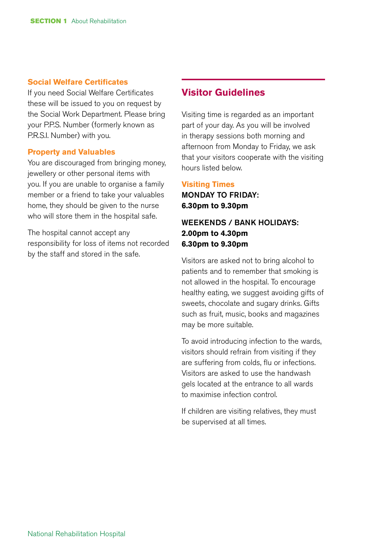#### **Social Welfare Certificates**

If you need Social Welfare Certificates these will be issued to you on request by the Social Work Department. Please bring your P.P.S. Number (formerly known as P.R.S.I. Number) with you.

#### **Property and Valuables**

You are discouraged from bringing money, jewellery or other personal items with you. If you are unable to organise a family member or a friend to take your valuables home, they should be given to the nurse who will store them in the hospital safe.

The hospital cannot accept any responsibility for loss of items not recorded by the staff and stored in the safe.

## **Visitor Guidelines**

Visiting time is regarded as an important part of your day. As you will be involved in therapy sessions both morning and afternoon from Monday to Friday, we ask that your visitors cooperate with the visiting hours listed below.

#### **Visiting Times**

Monday to Friday: **6.30pm to 9.30pm**

#### Weekends / Bank Holidays: **2.00pm to 4.30pm 6.30pm to 9.30pm**

Visitors are asked not to bring alcohol to patients and to remember that smoking is not allowed in the hospital. To encourage healthy eating, we suggest avoiding gifts of sweets, chocolate and sugary drinks. Gifts such as fruit, music, books and magazines may be more suitable.

To avoid introducing infection to the wards, visitors should refrain from visiting if they are suffering from colds, flu or infections. Visitors are asked to use the handwash gels located at the entrance to all wards to maximise infection control.

If children are visiting relatives, they must be supervised at all times.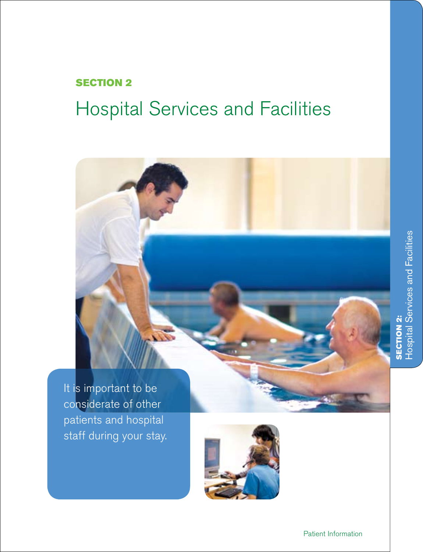## SECTION 2

# Hospital Services and Facilities

It is important to be considerate of other patients and hospital staff during your stay.

 $\overline{\mathcal{D}}$ 



Patient Information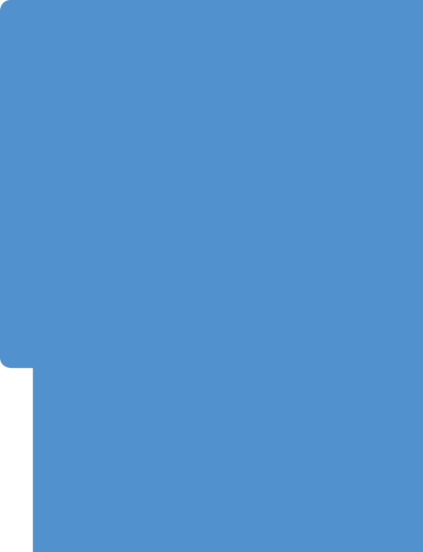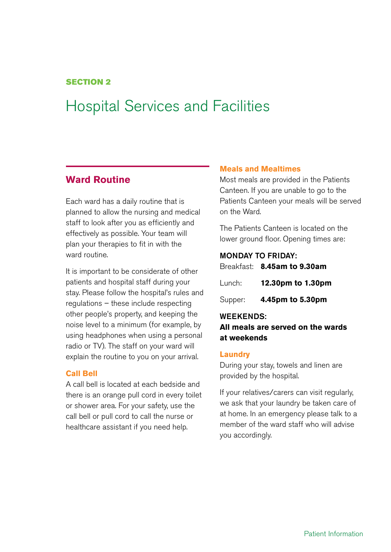#### SECTION 2

## Hospital Services and Facilities

## **Ward Routine**

Each ward has a daily routine that is planned to allow the nursing and medical staff to look after you as efficiently and effectively as possible. Your team will plan your therapies to fit in with the ward routine.

It is important to be considerate of other patients and hospital staff during your stay. Please follow the hospital's rules and regulations – these include respecting other people's property, and keeping the noise level to a minimum (for example, by using headphones when using a personal radio or TV). The staff on your ward will explain the routine to you on your arrival.

#### **Call Bell**

A call bell is located at each bedside and there is an orange pull cord in every toilet or shower area. For your safety, use the call bell or pull cord to call the nurse or healthcare assistant if you need help.

#### **Meals and Mealtimes**

Most meals are provided in the Patients Canteen. If you are unable to go to the Patients Canteen your meals will be served on the Ward.

The Patients Canteen is located on the lower ground floor. Opening times are:

#### Monday to Friday:

|         | Breakfast: 8.45am to 9.30am |
|---------|-----------------------------|
| Lunch:  | 12.30pm to 1.30pm           |
| Supper: | 4.45pm to 5.30pm            |

#### Weekends:

**All meals are served on the wards at weekends**

#### **Laundry**

During your stay, towels and linen are provided by the hospital.

If your relatives/carers can visit regularly, we ask that your laundry be taken care of at home. In an emergency please talk to a member of the ward staff who will advise you accordingly.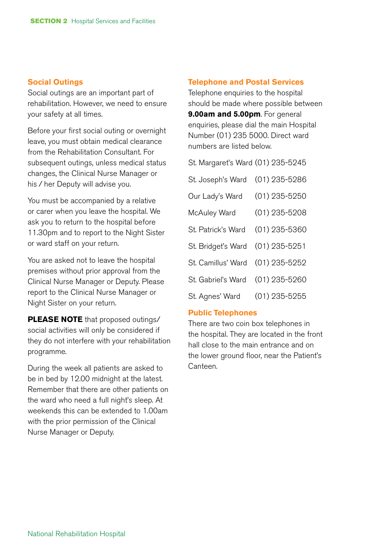#### **Social Outings**

Social outings are an important part of rehabilitation. However, we need to ensure your safety at all times.

Before your first social outing or overnight leave, you must obtain medical clearance from the Rehabilitation Consultant. For subsequent outings, unless medical status changes, the Clinical Nurse Manager or his / her Deputy will advise you.

You must be accompanied by a relative or carer when you leave the hospital. We ask you to return to the hospital before 11.30pm and to report to the Night Sister or ward staff on your return.

You are asked not to leave the hospital premises without prior approval from the Clinical Nurse Manager or Deputy. Please report to the Clinical Nurse Manager or Night Sister on your return.

**PLEASE NOTE** that proposed outings/ social activities will only be considered if they do not interfere with your rehabilitation programme.

During the week all patients are asked to be in bed by 12.00 midnight at the latest. Remember that there are other patients on the ward who need a full night's sleep. At weekends this can be extended to 1.00am with the prior permission of the Clinical Nurse Manager or Deputy.

#### **Telephone and Postal Services**

Telephone enquiries to the hospital should be made where possible between **9.00am and 5.00pm**. For general enquiries, please dial the main Hospital Number (01) 235 5000. Direct ward numbers are listed below.

| St. Margaret's Ward (01) 235-5245 |                 |
|-----------------------------------|-----------------|
| St. Joseph's Ward                 | $(01)$ 235-5286 |
| Our Lady's Ward                   | $(01)$ 235-5250 |
| McAuley Ward                      | $(01)$ 235-5208 |
| St. Patrick's Ward                | $(01)$ 235-5360 |
| St. Bridget's Ward                | $(01)$ 235-5251 |
| St. Camillus' Ward                | $(01)$ 235-5252 |
| St. Gabriel's Ward                | $(01)$ 235-5260 |
| St. Agnes' Ward                   | (01) 235-5255   |

#### **Public Telephones**

There are two coin box telephones in the hospital. They are located in the front hall close to the main entrance and on the lower ground floor, near the Patient's Canteen.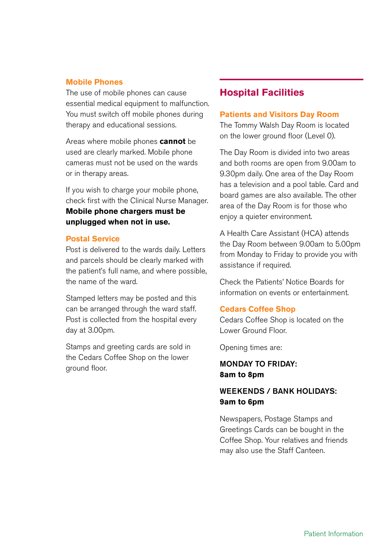#### **Mobile Phones**

The use of mobile phones can cause essential medical equipment to malfunction. You must switch off mobile phones during therapy and educational sessions.

Areas where mobile phones **cannot** be used are clearly marked. Mobile phone cameras must not be used on the wards or in therapy areas.

If you wish to charge your mobile phone, check first with the Clinical Nurse Manager. **Mobile phone chargers must be unplugged when not in use.**

#### **Postal Service**

Post is delivered to the wards daily. Letters and parcels should be clearly marked with the patient's full name, and where possible, the name of the ward.

Stamped letters may be posted and this can be arranged through the ward staff. Post is collected from the hospital every day at 3.00pm.

Stamps and greeting cards are sold in the Cedars Coffee Shop on the lower ground floor.

## **Hospital Facilities**

#### **Patients and Visitors Day Room**

The Tommy Walsh Day Room is located on the lower ground floor (Level 0).

The Day Room is divided into two areas and both rooms are open from 9.00am to 9.30pm daily. One area of the Day Room has a television and a pool table. Card and board games are also available. The other area of the Day Room is for those who enjoy a quieter environment.

A Health Care Assistant (HCA) attends the Day Room between 9.00am to 5.00pm from Monday to Friday to provide you with assistance if required.

Check the Patients' Notice Boards for information on events or entertainment.

#### **Cedars Coffee Shop**

Cedars Coffee Shop is located on the Lower Ground Floor.

Opening times are:

#### Monday to Friday: **8am to 8pm**

## Weekends / Bank Holidays: **9am to 6pm**

Newspapers, Postage Stamps and Greetings Cards can be bought in the Coffee Shop. Your relatives and friends may also use the Staff Canteen.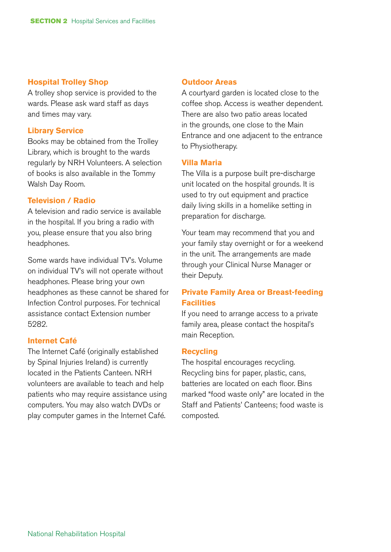#### **Hospital Trolley Shop**

A trolley shop service is provided to the wards. Please ask ward staff as days and times may vary.

#### **Library Service**

Books may be obtained from the Trolley Library, which is brought to the wards regularly by NRH Volunteers. A selection of books is also available in the Tommy Walsh Day Room.

#### **Television / Radio**

A television and radio service is available in the hospital. If you bring a radio with you, please ensure that you also bring headphones.

Some wards have individual TV's. Volume on individual TV's will not operate without headphones. Please bring your own headphones as these cannot be shared for Infection Control purposes. For technical assistance contact Extension number 5282.

#### **Internet Café**

The Internet Café (originally established by Spinal Injuries Ireland) is currently located in the Patients Canteen. NRH volunteers are available to teach and help patients who may require assistance using computers. You may also watch DVDs or play computer games in the Internet Café.

#### **Outdoor Areas**

A courtyard garden is located close to the coffee shop. Access is weather dependent. There are also two patio areas located in the grounds, one close to the Main Entrance and one adjacent to the entrance to Physiotherapy.

#### **Villa Maria**

The Villa is a purpose built pre-discharge unit located on the hospital grounds. It is used to try out equipment and practice daily living skills in a homelike setting in preparation for discharge.

Your team may recommend that you and your family stay overnight or for a weekend in the unit. The arrangements are made through your Clinical Nurse Manager or their Deputy.

#### **Private Family Area or Breast-feeding Facilities**

If you need to arrange access to a private family area, please contact the hospital's main Reception.

#### **Recycling**

The hospital encourages recycling. Recycling bins for paper, plastic, cans, batteries are located on each floor. Bins marked "food waste only" are located in the Staff and Patients' Canteens; food waste is composted.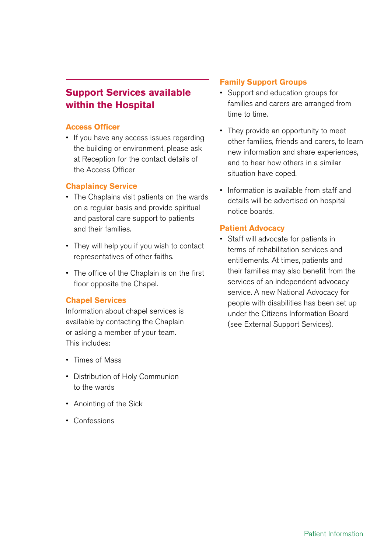## **Support Services available within the Hospital**

#### **Access Officer**

• If you have any access issues regarding the building or environment, please ask at Reception for the contact details of the Access Officer

#### **Chaplaincy Service**

- The Chaplains visit patients on the wards on a regular basis and provide spiritual and pastoral care support to patients and their families.
- They will help you if you wish to contact representatives of other faiths.
- The office of the Chaplain is on the first floor opposite the Chapel.

#### **Chapel Services**

Information about chapel services is available by contacting the Chaplain or asking a member of your team. This includes:

- • Times of Mass
- • Distribution of Holy Communion to the wards
- • Anointing of the Sick
- • Confessions

#### **Family Support Groups**

- Support and education groups for families and carers are arranged from time to time.
- They provide an opportunity to meet other families, friends and carers, to learn new information and share experiences, and to hear how others in a similar situation have coped.
- Information is available from staff and details will be advertised on hospital notice boards.

#### **Patient Advocacy**

• Staff will advocate for patients in terms of rehabilitation services and entitlements. At times, patients and their families may also benefit from the services of an independent advocacy service. A new National Advocacy for people with disabilities has been set up under the Citizens Information Board (see External Support Services).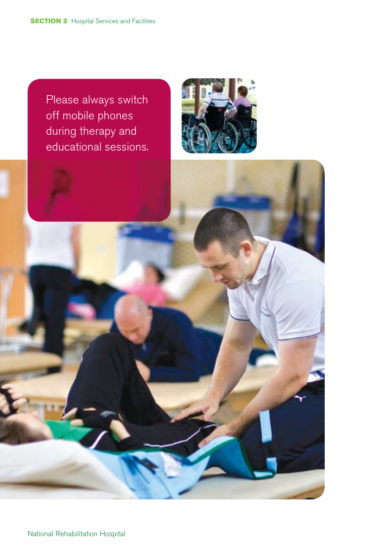Please always switch off mobile phones during therapy and educational sessions.



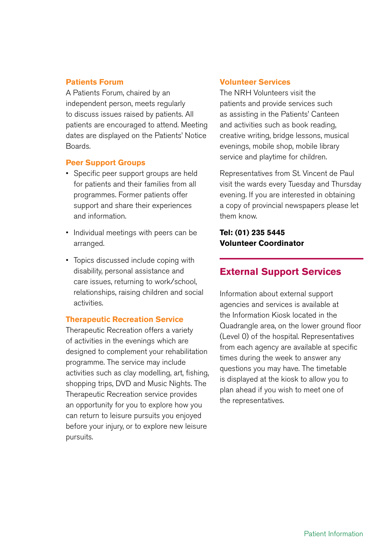#### **Patients Forum**

A Patients Forum, chaired by an independent person, meets regularly to discuss issues raised by patients. All patients are encouraged to attend. Meeting dates are displayed on the Patients' Notice Boards.

#### **Peer Support Groups**

- Specific peer support groups are held for patients and their families from all programmes. Former patients offer support and share their experiences and information.
- • Individual meetings with peers can be arranged.
- • Topics discussed include coping with disability, personal assistance and care issues, returning to work/school, relationships, raising children and social activities.

### **Therapeutic Recreation Service**

Therapeutic Recreation offers a variety of activities in the evenings which are designed to complement your rehabilitation programme. The service may include activities such as clay modelling, art, fishing, shopping trips, DVD and Music Nights. The Therapeutic Recreation service provides an opportunity for you to explore how you can return to leisure pursuits you enjoyed before your injury, or to explore new leisure pursuits.

#### **Volunteer Services**

The NRH Volunteers visit the patients and provide services such as assisting in the Patients' Canteen and activities such as book reading, creative writing, bridge lessons, musical evenings, mobile shop, mobile library service and playtime for children.

Representatives from St. Vincent de Paul visit the wards every Tuesday and Thursday evening. If you are interested in obtaining a copy of provincial newspapers please let them know.

#### **Tel: (01) 235 5445 Volunteer Coordinator**

## **External Support Services**

Information about external support agencies and services is available at the Information Kiosk located in the Quadrangle area, on the lower ground floor (Level 0) of the hospital. Representatives from each agency are available at specific times during the week to answer any questions you may have. The timetable is displayed at the kiosk to allow you to plan ahead if you wish to meet one of the representatives.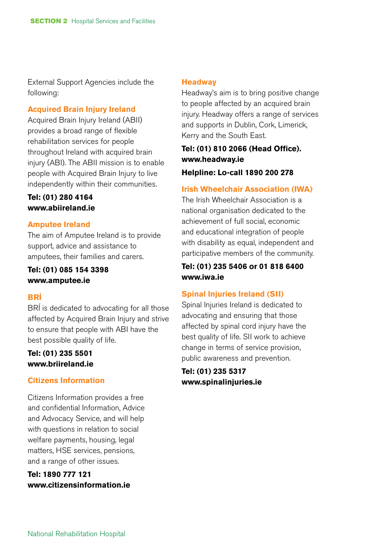External Support Agencies include the following:

#### **Acquired Brain Injury Ireland**

Acquired Brain Injury Ireland (ABII) provides a broad range of flexible rehabilitation services for people throughout Ireland with acquired brain injury (ABI). The ABII mission is to enable people with Acquired Brain Injury to live independently within their communities.

#### **Tel: (01) 280 4164 www.abiireland.ie**

#### **Amputee Ireland**

The aim of Amputee Ireland is to provide support, advice and assistance to amputees, their families and carers.

#### **Tel: (01) 085 154 3398 www.amputee.ie**

#### **BRÍ**

BRÍ is dedicated to advocating for all those affected by Acquired Brain Injury and strive to ensure that people with ABI have the best possible quality of life.

#### **Tel: (01) 235 5501 www.briireland.ie**

#### **Citizens Information**

Citizens Information provides a free and confidential Information, Advice and Advocacy Service, and will help with questions in relation to social welfare payments, housing, legal matters, HSE services, pensions, and a range of other issues.

**Tel: 1890 777 121 www.citizensinformation.ie**

#### **Headway**

Headway's aim is to bring positive change to people affected by an acquired brain injury. Headway offers a range of services and supports in Dublin, Cork, Limerick, Kerry and the South East.

## **Tel: (01) 810 2066 (Head Office). www.headway.ie**

#### **Helpline: Lo-call 1890 200 278**

#### **Irish Wheelchair Association (IWA)**

The Irish Wheelchair Association is a national organisation dedicated to the achievement of full social, economic and educational integration of people with disability as equal, independent and participative members of the community.

#### **Tel: (01) 235 5406 or 01 818 6400 www.iwa.ie**

#### **Spinal Injuries Ireland (SII)**

Spinal Injuries Ireland is dedicated to advocating and ensuring that those affected by spinal cord injury have the best quality of life. SII work to achieve change in terms of service provision, public awareness and prevention.

### **Tel: (01) 235 5317 www.spinalinjuries.ie**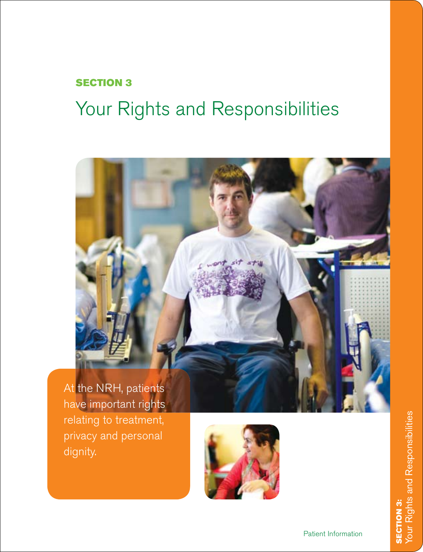# SECTION 3 Your Rights and Responsibilities





**section 3:**<br>Your Rights and Responsibilities Your Rights and Responsibilities SECTION 3: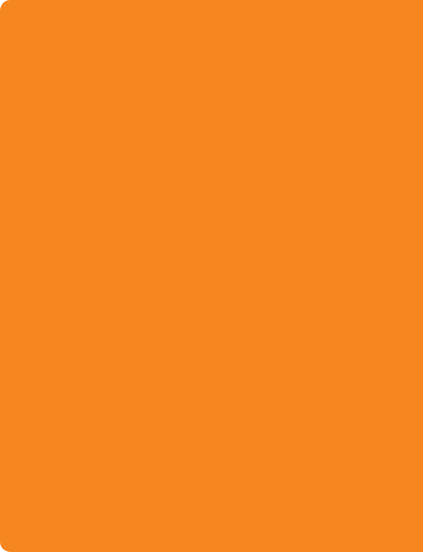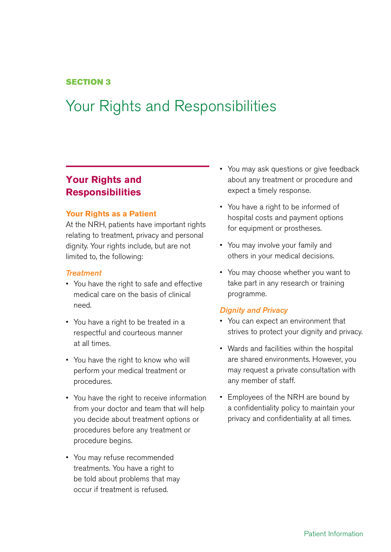### SECTION 3

## Your Rights and Responsibilities

## **Your Rights and Responsibilities**

#### **Your Rights as a Patient**

At the NRH, patients have important rights relating to treatment, privacy and personal dignity. Your rights include, but are not limited to, the following:

#### *Treatment*

- You have the right to safe and effective medical care on the basis of clinical need.
- • You have a right to be treated in a respectful and courteous manner at all times.
- You have the right to know who will perform your medical treatment or procedures.
- • You have the right to receive information from your doctor and team that will help you decide about treatment options or procedures before any treatment or procedure begins.
- • You may refuse recommended treatments. You have a right to be told about problems that may occur if treatment is refused.
- You may ask questions or give feedback about any treatment or procedure and expect a timely response.
- You have a right to be informed of hospital costs and payment options for equipment or prostheses.
- You may involve your family and others in your medical decisions.
- • You may choose whether you want to take part in any research or training programme.

#### *Dignity and Privacy*

- • You can expect an environment that strives to protect your dignity and privacy.
- • Wards and facilities within the hospital are shared environments. However, you may request a private consultation with any member of staff.
- Employees of the NRH are bound by a confidentiality policy to maintain your privacy and confidentiality at all times.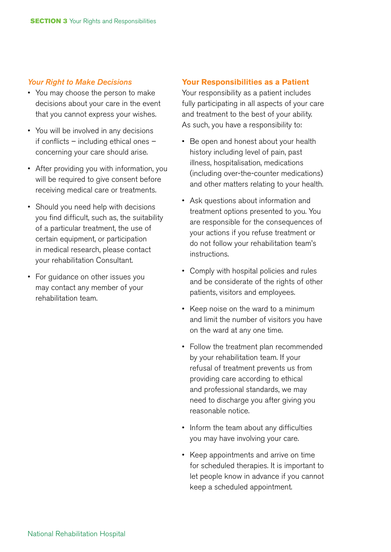#### *Your Right to Make Decisions*

- You may choose the person to make decisions about your care in the event that you cannot express your wishes.
- • You will be involved in any decisions if conflicts – including ethical ones – concerning your care should arise.
- After providing you with information, you will be required to give consent before receiving medical care or treatments.
- • Should you need help with decisions you find difficult, such as, the suitability of a particular treatment, the use of certain equipment, or participation in medical research, please contact your rehabilitation Consultant.
- For quidance on other issues you may contact any member of your rehabilitation team.

#### **Your Responsibilities as a Patient**

Your responsibility as a patient includes fully participating in all aspects of your care and treatment to the best of your ability. As such, you have a responsibility to:

- Be open and honest about your health history including level of pain, past illness, hospitalisation, medications (including over-the-counter medications) and other matters relating to your health.
- • Ask questions about information and treatment options presented to you. You are responsible for the consequences of your actions if you refuse treatment or do not follow your rehabilitation team's instructions.
- • Comply with hospital policies and rules and be considerate of the rights of other patients, visitors and employees.
- Keep noise on the ward to a minimum and limit the number of visitors you have on the ward at any one time.
- • Follow the treatment plan recommended by your rehabilitation team. If your refusal of treatment prevents us from providing care according to ethical and professional standards, we may need to discharge you after giving you reasonable notice.
- Inform the team about any difficulties you may have involving your care.
- • Keep appointments and arrive on time for scheduled therapies. It is important to let people know in advance if you cannot keep a scheduled appointment.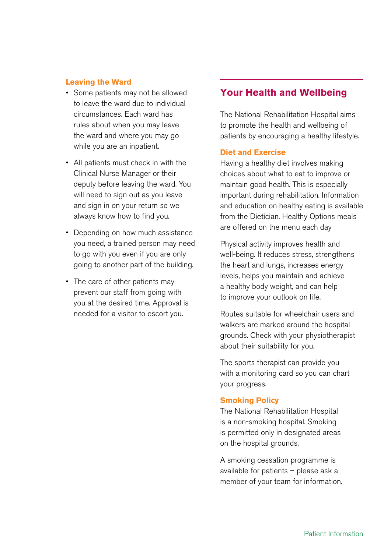#### **Leaving the Ward**

- • Some patients may not be allowed to leave the ward due to individual circumstances. Each ward has rules about when you may leave the ward and where you may go while you are an inpatient.
- • All patients must check in with the Clinical Nurse Manager or their deputy before leaving the ward. You will need to sign out as you leave and sign in on your return so we always know how to find you.
- Depending on how much assistance you need, a trained person may need to go with you even if you are only going to another part of the building.
- The care of other patients may prevent our staff from going with you at the desired time. Approval is needed for a visitor to escort you.

## **Your Health and Wellbeing**

The National Rehabilitation Hospital aims to promote the health and wellbeing of patients by encouraging a healthy lifestyle.

#### **Diet and Exercise**

Having a healthy diet involves making choices about what to eat to improve or maintain good health. This is especially important during rehabilitation. Information and education on healthy eating is available from the Dietician. Healthy Options meals are offered on the menu each day

Physical activity improves health and well-being. It reduces stress, strengthens the heart and lungs, increases energy levels, helps you maintain and achieve a healthy body weight, and can help to improve your outlook on life.

Routes suitable for wheelchair users and walkers are marked around the hospital grounds. Check with your physiotherapist about their suitability for you.

The sports therapist can provide you with a monitoring card so you can chart your progress.

#### **Smoking Policy**

The National Rehabilitation Hospital is a non-smoking hospital. Smoking is permitted only in designated areas on the hospital grounds.

A smoking cessation programme is available for patients – please ask a member of your team for information.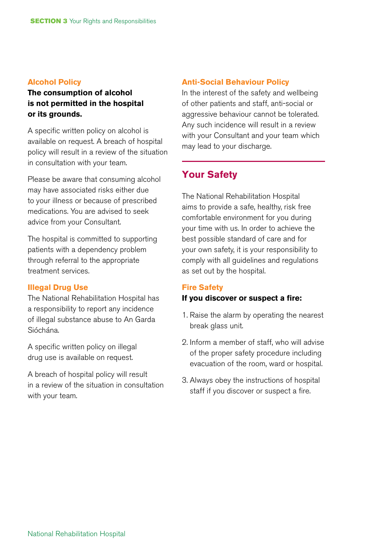#### **Alcohol Policy**

### **The consumption of alcohol is not permitted in the hospital or its grounds.**

A specific written policy on alcohol is available on request. A breach of hospital policy will result in a review of the situation in consultation with your team.

Please be aware that consuming alcohol may have associated risks either due to your illness or because of prescribed medications. You are advised to seek advice from your Consultant.

The hospital is committed to supporting patients with a dependency problem through referral to the appropriate treatment services.

#### **Illegal Drug Use**

The National Rehabilitation Hospital has a responsibility to report any incidence of illegal substance abuse to An Garda Sióchána.

A specific written policy on illegal drug use is available on request.

A breach of hospital policy will result in a review of the situation in consultation with your team.

#### **Anti-Social Behaviour Policy**

In the interest of the safety and wellbeing of other patients and staff, anti-social or aggressive behaviour cannot be tolerated. Any such incidence will result in a review with your Consultant and your team which may lead to your discharge.

## **Your Safety**

The National Rehabilitation Hospital aims to provide a safe, healthy, risk free comfortable environment for you during your time with us. In order to achieve the best possible standard of care and for your own safety, it is your responsibility to comply with all guidelines and regulations as set out by the hospital.

#### **Fire Safety**

#### **If you discover or suspect a fire:**

- 1. Raise the alarm by operating the nearest break glass unit.
- 2. Inform a member of staff, who will advise of the proper safety procedure including evacuation of the room, ward or hospital.
- 3. Always obey the instructions of hospital staff if you discover or suspect a fire.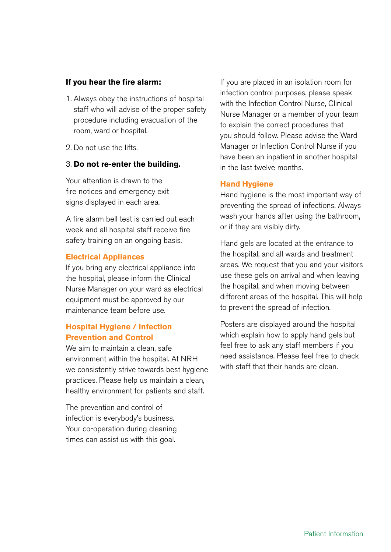#### **If you hear the fire alarm:**

- 1. Always obey the instructions of hospital staff who will advise of the proper safety procedure including evacuation of the room, ward or hospital.
- 2. Do not use the lifts.
- 3. **Do not re-enter the building.**

Your attention is drawn to the fire notices and emergency exit signs displayed in each area.

A fire alarm bell test is carried out each week and all hospital staff receive fire safety training on an ongoing basis.

#### **Electrical Appliances**

If you bring any electrical appliance into the hospital, please inform the Clinical Nurse Manager on your ward as electrical equipment must be approved by our maintenance team before use.

#### **Hospital Hygiene / Infection Prevention and Control**

We aim to maintain a clean, safe environment within the hospital. At NRH we consistently strive towards best hygiene practices. Please help us maintain a clean, healthy environment for patients and staff.

The prevention and control of infection is everybody's business. Your co-operation during cleaning times can assist us with this goal.

If you are placed in an isolation room for infection control purposes, please speak with the Infection Control Nurse, Clinical Nurse Manager or a member of your team to explain the correct procedures that you should follow. Please advise the Ward Manager or Infection Control Nurse if you have been an inpatient in another hospital in the last twelve months.

#### **Hand Hygiene**

Hand hygiene is the most important way of preventing the spread of infections. Always wash your hands after using the bathroom, or if they are visibly dirty.

Hand gels are located at the entrance to the hospital, and all wards and treatment areas. We request that you and your visitors use these gels on arrival and when leaving the hospital, and when moving between different areas of the hospital. This will help to prevent the spread of infection.

Posters are displayed around the hospital which explain how to apply hand gels but feel free to ask any staff members if you need assistance. Please feel free to check with staff that their hands are clean.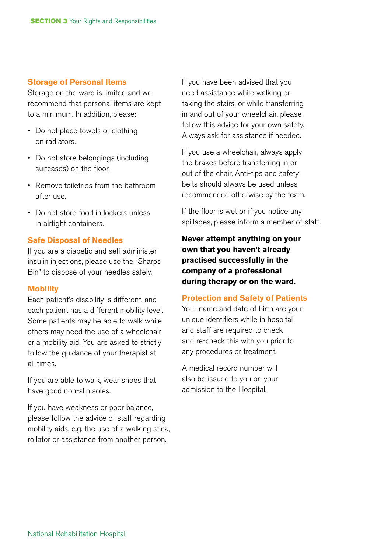#### **Storage of Personal Items**

Storage on the ward is limited and we recommend that personal items are kept to a minimum. In addition, please:

- Do not place towels or clothing on radiators.
- Do not store belongings (including suitcases) on the floor.
- Remove toiletries from the bathroom after use.
- Do not store food in lockers unless in airtight containers.

#### **Safe Disposal of Needles**

If you are a diabetic and self administer insulin injections, please use the "Sharps Bin" to dispose of your needles safely.

#### **Mobility**

Each patient's disability is different, and each patient has a different mobility level. Some patients may be able to walk while others may need the use of a wheelchair or a mobility aid. You are asked to strictly follow the guidance of your therapist at all times.

If you are able to walk, wear shoes that have good non-slip soles.

If you have weakness or poor balance, please follow the advice of staff regarding mobility aids, e.g. the use of a walking stick, rollator or assistance from another person.

If you have been advised that you need assistance while walking or taking the stairs, or while transferring in and out of your wheelchair, please follow this advice for your own safety. Always ask for assistance if needed.

If you use a wheelchair, always apply the brakes before transferring in or out of the chair. Anti-tips and safety belts should always be used unless recommended otherwise by the team.

If the floor is wet or if you notice any spillages, please inform a member of staff.

**Never attempt anything on your own that you haven't already practised successfully in the company of a professional during therapy or on the ward.**

#### **Protection and Safety of Patients**

Your name and date of birth are your unique identifiers while in hospital and staff are required to check and re-check this with you prior to any procedures or treatment.

A medical record number will also be issued to you on your admission to the Hospital.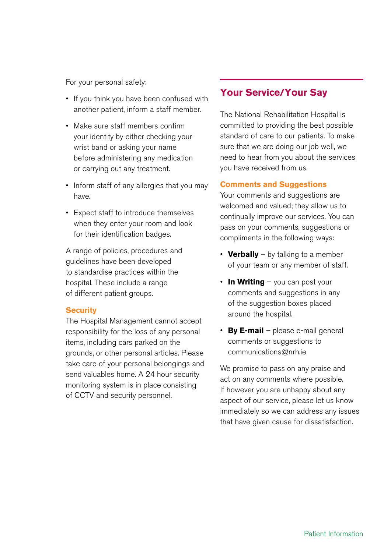For your personal safety:

- If you think you have been confused with another patient, inform a staff member.
- Make sure staff members confirm your identity by either checking your wrist band or asking your name before administering any medication or carrying out any treatment.
- Inform staff of any allergies that you may have.
- • Expect staff to introduce themselves when they enter your room and look for their identification badges.

A range of policies, procedures and guidelines have been developed to standardise practices within the hospital. These include a range of different patient groups.

#### **Security**

The Hospital Management cannot accept responsibility for the loss of any personal items, including cars parked on the grounds, or other personal articles. Please take care of your personal belongings and send valuables home. A 24 hour security monitoring system is in place consisting of CCTV and security personnel.

## **Your Service/Your Say**

The National Rehabilitation Hospital is committed to providing the best possible standard of care to our patients. To make sure that we are doing our job well, we need to hear from you about the services you have received from us.

#### **Comments and Suggestions**

Your comments and suggestions are welcomed and valued; they allow us to continually improve our services. You can pass on your comments, suggestions or compliments in the following ways:

- **Verbally** by talking to a member of your team or any member of staff.
- In Writing you can post your comments and suggestions in any of the suggestion boxes placed around the hospital.
- • **By E-mail** please e-mail general comments or suggestions to communications@nrh.ie

We promise to pass on any praise and act on any comments where possible. If however you are unhappy about any aspect of our service, please let us know immediately so we can address any issues that have given cause for dissatisfaction.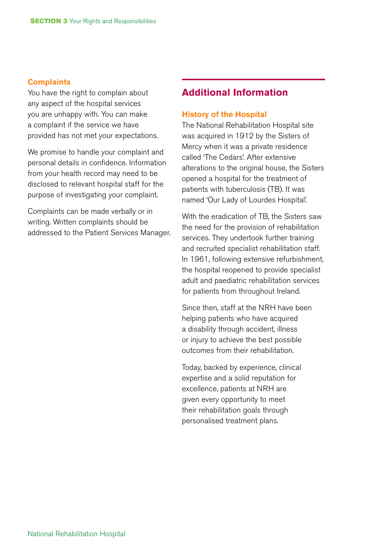#### **Complaints**

You have the right to complain about any aspect of the hospital services you are unhappy with. You can make a complaint if the service we have provided has not met your expectations.

We promise to handle your complaint and personal details in confidence. Information from your health record may need to be disclosed to relevant hospital staff for the purpose of investigating your complaint.

Complaints can be made verbally or in writing. Written complaints should be addressed to the Patient Services Manager.

## **Additional Information**

#### **History of the Hospital**

The National Rehabilitation Hospital site was acquired in 1912 by the Sisters of Mercy when it was a private residence called 'The Cedars'. After extensive alterations to the original house, the Sisters opened a hospital for the treatment of patients with tuberculosis (TB). It was named 'Our Lady of Lourdes Hospital'.

With the eradication of TB, the Sisters saw the need for the provision of rehabilitation services. They undertook further training and recruited specialist rehabilitation staff. In 1961, following extensive refurbishment, the hospital reopened to provide specialist adult and paediatric rehabilitation services for patients from throughout Ireland.

Since then, staff at the NRH have been helping patients who have acquired a disability through accident, illness or injury to achieve the best possible outcomes from their rehabilitation.

Today, backed by experience, clinical expertise and a solid reputation for excellence, patients at NRH are given every opportunity to meet their rehabilitation goals through personalised treatment plans.